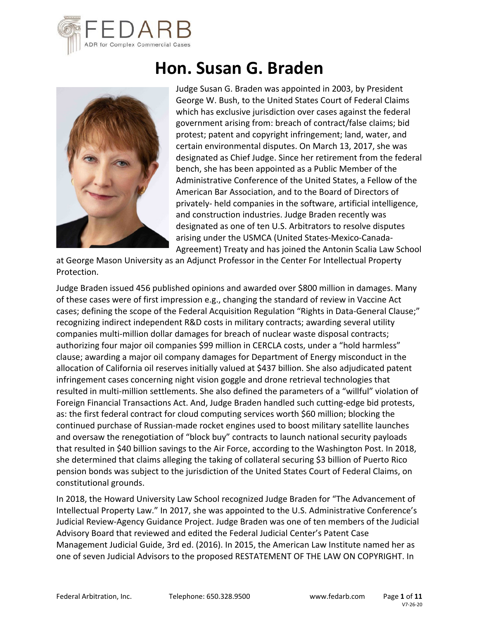

# **Hon. Susan G. Braden**



Judge Susan G. Braden was appointed in 2003, by President George W. Bush, to the United States Court of Federal Claims which has exclusive jurisdiction over cases against the federal government arising from: breach of contract/false claims; bid protest; patent and copyright infringement; land, water, and certain environmental disputes. On March 13, 2017, she was designated as Chief Judge. Since her retirement from the federal bench, she has been appointed as a Public Member of the Administrative Conference of the United States, a Fellow of the American Bar Association, and to the Board of Directors of privately‐ held companies in the software, artificial intelligence, and construction industries. Judge Braden recently was designated as one of ten U.S. Arbitrators to resolve disputes arising under the USMCA (United States‐Mexico‐Canada‐ Agreement) Treaty and has joined the Antonin Scalia Law School

at George Mason University as an Adjunct Professor in the Center For Intellectual Property Protection.

Judge Braden issued 456 published opinions and awarded over \$800 million in damages. Many of these cases were of first impression e.g., changing the standard of review in Vaccine Act cases; defining the scope of the Federal Acquisition Regulation "Rights in Data‐General Clause;" recognizing indirect independent R&D costs in military contracts; awarding several utility companies multi‐million dollar damages for breach of nuclear waste disposal contracts; authorizing four major oil companies \$99 million in CERCLA costs, under a "hold harmless" clause; awarding a major oil company damages for Department of Energy misconduct in the allocation of California oil reserves initially valued at \$437 billion. She also adjudicated patent infringement cases concerning night vision goggle and drone retrieval technologies that resulted in multi‐million settlements. She also defined the parameters of a "willful" violation of Foreign Financial Transactions Act. And, Judge Braden handled such cutting‐edge bid protests, as: the first federal contract for cloud computing services worth \$60 million; blocking the continued purchase of Russian‐made rocket engines used to boost military satellite launches and oversaw the renegotiation of "block buy" contracts to launch national security payloads that resulted in \$40 billion savings to the Air Force, according to the Washington Post. In 2018, she determined that claims alleging the taking of collateral securing \$3 billion of Puerto Rico pension bonds was subject to the jurisdiction of the United States Court of Federal Claims, on constitutional grounds.

In 2018, the Howard University Law School recognized Judge Braden for "The Advancement of Intellectual Property Law." In 2017, she was appointed to the U.S. Administrative Conference's Judicial Review‐Agency Guidance Project. Judge Braden was one of ten members of the Judicial Advisory Board that reviewed and edited the Federal Judicial Center's Patent Case Management Judicial Guide, 3rd ed. (2016). In 2015, the American Law Institute named her as one of seven Judicial Advisors to the proposed RESTATEMENT OF THE LAW ON COPYRIGHT. In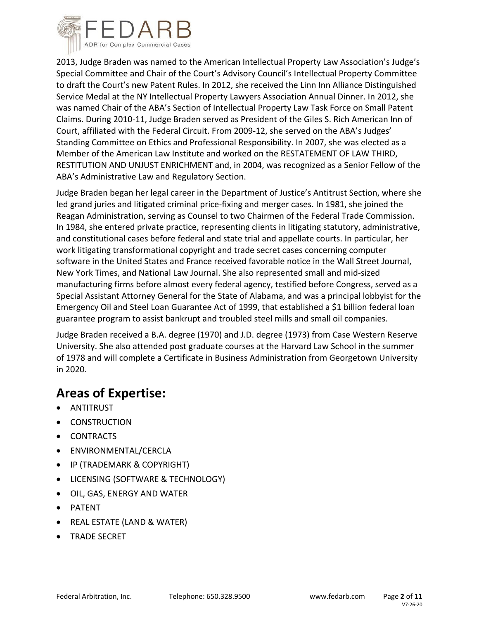

2013, Judge Braden was named to the American Intellectual Property Law Association's Judge's Special Committee and Chair of the Court's Advisory Council's Intellectual Property Committee to draft the Court's new Patent Rules. In 2012, she received the Linn Inn Alliance Distinguished Service Medal at the NY Intellectual Property Lawyers Association Annual Dinner. In 2012, she was named Chair of the ABA's Section of Intellectual Property Law Task Force on Small Patent Claims. During 2010‐11, Judge Braden served as President of the Giles S. Rich American Inn of Court, affiliated with the Federal Circuit. From 2009‐12, she served on the ABA's Judges' Standing Committee on Ethics and Professional Responsibility. In 2007, she was elected as a Member of the American Law Institute and worked on the RESTATEMENT OF LAW THIRD, RESTITUTION AND UNJUST ENRICHMENT and, in 2004, was recognized as a Senior Fellow of the ABA's Administrative Law and Regulatory Section.

Judge Braden began her legal career in the Department of Justice's Antitrust Section, where she led grand juries and litigated criminal price‐fixing and merger cases. In 1981, she joined the Reagan Administration, serving as Counsel to two Chairmen of the Federal Trade Commission. In 1984, she entered private practice, representing clients in litigating statutory, administrative, and constitutional cases before federal and state trial and appellate courts. In particular, her work litigating transformational copyright and trade secret cases concerning computer software in the United States and France received favorable notice in the Wall Street Journal, New York Times, and National Law Journal. She also represented small and mid‐sized manufacturing firms before almost every federal agency, testified before Congress, served as a Special Assistant Attorney General for the State of Alabama, and was a principal lobbyist for the Emergency Oil and Steel Loan Guarantee Act of 1999, that established a \$1 billion federal loan guarantee program to assist bankrupt and troubled steel mills and small oil companies.

Judge Braden received a B.A. degree (1970) and J.D. degree (1973) from Case Western Reserve University. She also attended post graduate courses at the Harvard Law School in the summer of 1978 and will complete a Certificate in Business Administration from Georgetown University in 2020.

# **Areas of Expertise:**

- ANTITRUST
- CONSTRUCTION
- CONTRACTS
- **•** ENVIRONMENTAL/CERCLA
- IP (TRADEMARK & COPYRIGHT)
- LICENSING (SOFTWARE & TECHNOLOGY)
- OIL, GAS, ENERGY AND WATER
- PATENT
- REAL ESTATE (LAND & WATER)
- TRADE SECRET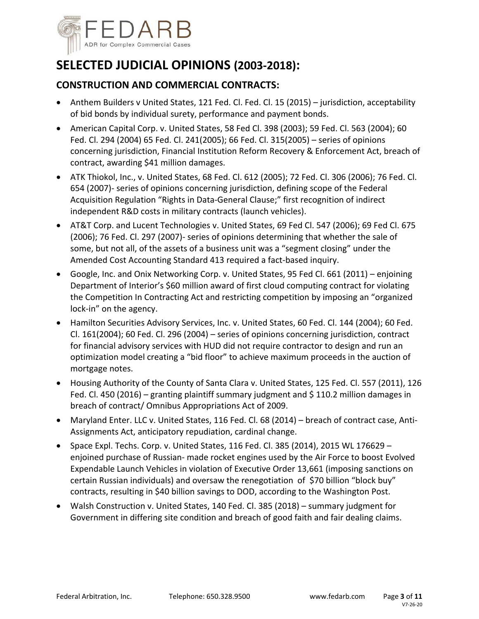

# **SELECTED JUDICIAL OPINIONS (2003‐2018):**

#### **CONSTRUCTION AND COMMERCIAL CONTRACTS:**

- Anthem Builders v United States, 121 Fed. Cl. Fed. Cl. 15 (2015) jurisdiction, acceptability of bid bonds by individual surety, performance and payment bonds.
- American Capital Corp. v. United States, 58 Fed Cl. 398 (2003); 59 Fed. Cl. 563 (2004); 60 Fed. Cl. 294 (2004) 65 Fed. Cl. 241(2005); 66 Fed. Cl. 315(2005) – series of opinions concerning jurisdiction, Financial Institution Reform Recovery & Enforcement Act, breach of contract, awarding \$41 million damages.
- ATK Thiokol, Inc., v. United States, 68 Fed. Cl. 612 (2005); 72 Fed. Cl. 306 (2006); 76 Fed. Cl. 654 (2007)‐ series of opinions concerning jurisdiction, defining scope of the Federal Acquisition Regulation "Rights in Data‐General Clause;" first recognition of indirect independent R&D costs in military contracts (launch vehicles).
- AT&T Corp. and Lucent Technologies v. United States, 69 Fed Cl. 547 (2006); 69 Fed Cl. 675 (2006); 76 Fed. Cl. 297 (2007)‐ series of opinions determining that whether the sale of some, but not all, of the assets of a business unit was a "segment closing" under the Amended Cost Accounting Standard 413 required a fact‐based inquiry.
- Google, Inc. and Onix Networking Corp. v. United States, 95 Fed Cl. 661 (2011) enjoining Department of Interior's \$60 million award of first cloud computing contract for violating the Competition In Contracting Act and restricting competition by imposing an "organized lock‐in" on the agency.
- Hamilton Securities Advisory Services, Inc. v. United States, 60 Fed. Cl. 144 (2004); 60 Fed. Cl. 161(2004); 60 Fed. Cl. 296 (2004) – series of opinions concerning jurisdiction, contract for financial advisory services with HUD did not require contractor to design and run an optimization model creating a "bid floor" to achieve maximum proceeds in the auction of mortgage notes.
- Housing Authority of the County of Santa Clara v. United States, 125 Fed. Cl. 557 (2011), 126 Fed. Cl. 450 (2016) – granting plaintiff summary judgment and \$110.2 million damages in breach of contract/ Omnibus Appropriations Act of 2009.
- Maryland Enter. LLC v. United States, 116 Fed. Cl. 68 (2014) breach of contract case, Anti-Assignments Act, anticipatory repudiation, cardinal change.
- Space Expl. Techs. Corp. v. United States, 116 Fed. Cl. 385 (2014), 2015 WL 176629 enjoined purchase of Russian‐ made rocket engines used by the Air Force to boost Evolved Expendable Launch Vehicles in violation of Executive Order 13,661 (imposing sanctions on certain Russian individuals) and oversaw the renegotiation of \$70 billion "block buy" contracts, resulting in \$40 billion savings to DOD, according to the Washington Post.
- Walsh Construction v. United States, 140 Fed. Cl. 385 (2018) summary judgment for Government in differing site condition and breach of good faith and fair dealing claims.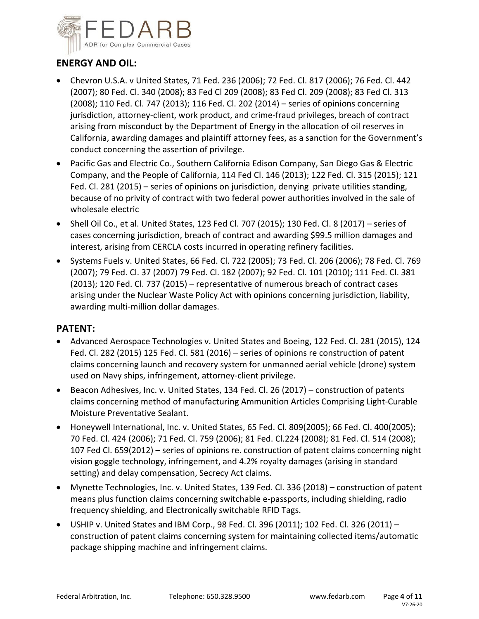

## **ENERGY AND OIL:**

- Chevron U.S.A. v United States, 71 Fed. 236 (2006); 72 Fed. Cl. 817 (2006); 76 Fed. Cl. 442 (2007); 80 Fed. Cl. 340 (2008); 83 Fed Cl 209 (2008); 83 Fed Cl. 209 (2008); 83 Fed Cl. 313 (2008); 110 Fed. Cl. 747 (2013); 116 Fed. Cl. 202 (2014) – series of opinions concerning jurisdiction, attorney‐client, work product, and crime‐fraud privileges, breach of contract arising from misconduct by the Department of Energy in the allocation of oil reserves in California, awarding damages and plaintiff attorney fees, as a sanction for the Government's conduct concerning the assertion of privilege.
- Pacific Gas and Electric Co., Southern California Edison Company, San Diego Gas & Electric Company, and the People of California, 114 Fed Cl. 146 (2013); 122 Fed. Cl. 315 (2015); 121 Fed. Cl. 281 (2015) – series of opinions on jurisdiction, denying private utilities standing, because of no privity of contract with two federal power authorities involved in the sale of wholesale electric
- $\bullet$  Shell Oil Co., et al. United States, 123 Fed Cl. 707 (2015); 130 Fed. Cl. 8 (2017) series of cases concerning jurisdiction, breach of contract and awarding \$99.5 million damages and interest, arising from CERCLA costs incurred in operating refinery facilities.
- Systems Fuels v. United States, 66 Fed. Cl. 722 (2005); 73 Fed. Cl. 206 (2006); 78 Fed. Cl. 769 (2007); 79 Fed. Cl. 37 (2007) 79 Fed. Cl. 182 (2007); 92 Fed. Cl. 101 (2010); 111 Fed. Cl. 381 (2013); 120 Fed. Cl. 737 (2015) – representative of numerous breach of contract cases arising under the Nuclear Waste Policy Act with opinions concerning jurisdiction, liability, awarding multi‐million dollar damages.

#### **PATENT:**

- Advanced Aerospace Technologies v. United States and Boeing, 122 Fed. Cl. 281 (2015), 124 Fed. Cl. 282 (2015) 125 Fed. Cl. 581 (2016) – series of opinions re construction of patent claims concerning launch and recovery system for unmanned aerial vehicle (drone) system used on Navy ships, infringement, attorney‐client privilege.
- Beacon Adhesives, Inc. v. United States, 134 Fed. Cl. 26 (2017) construction of patents claims concerning method of manufacturing Ammunition Articles Comprising Light‐Curable Moisture Preventative Sealant.
- Honeywell International, Inc. v. United States, 65 Fed. Cl. 809(2005); 66 Fed. Cl. 400(2005); 70 Fed. Cl. 424 (2006); 71 Fed. Cl. 759 (2006); 81 Fed. Cl.224 (2008); 81 Fed. Cl. 514 (2008); 107 Fed Cl. 659(2012) – series of opinions re. construction of patent claims concerning night vision goggle technology, infringement, and 4.2% royalty damages (arising in standard setting) and delay compensation, Secrecy Act claims.
- Mynette Technologies, Inc. v. United States, 139 Fed. Cl. 336 (2018) construction of patent means plus function claims concerning switchable e‐passports, including shielding, radio frequency shielding, and Electronically switchable RFID Tags.
- USHIP v. United States and IBM Corp., 98 Fed. Cl. 396 (2011); 102 Fed. Cl. 326 (2011) construction of patent claims concerning system for maintaining collected items/automatic package shipping machine and infringement claims.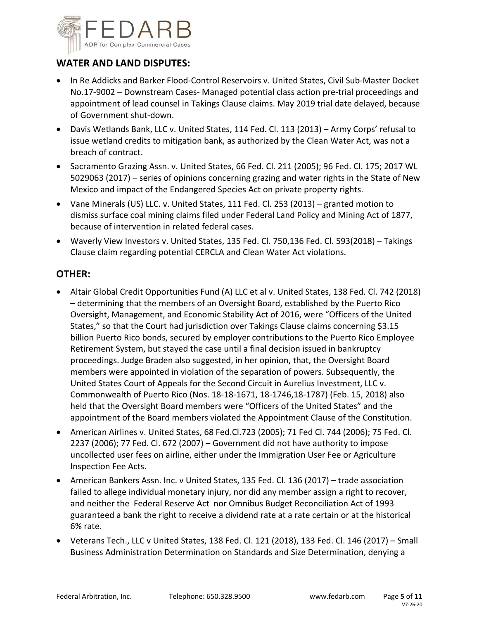

### **WATER AND LAND DISPUTES:**

- In Re Addicks and Barker Flood‐Control Reservoirs v. United States, Civil Sub‐Master Docket No.17‐9002 – Downstream Cases‐ Managed potential class action pre‐trial proceedings and appointment of lead counsel in Takings Clause claims. May 2019 trial date delayed, because of Government shut‐down.
- Davis Wetlands Bank, LLC v. United States, 114 Fed. Cl. 113 (2013) Army Corps' refusal to issue wetland credits to mitigation bank, as authorized by the Clean Water Act, was not a breach of contract.
- Sacramento Grazing Assn. v. United States, 66 Fed. Cl. 211 (2005); 96 Fed. Cl. 175; 2017 WL 5029063 (2017) – series of opinions concerning grazing and water rights in the State of New Mexico and impact of the Endangered Species Act on private property rights.
- Vane Minerals (US) LLC. v. United States, 111 Fed. Cl. 253 (2013) granted motion to dismiss surface coal mining claims filed under Federal Land Policy and Mining Act of 1877, because of intervention in related federal cases.
- Waverly View Investors v. United States, 135 Fed. Cl. 750,136 Fed. Cl. 593(2018) Takings Clause claim regarding potential CERCLA and Clean Water Act violations.

#### **OTHER:**

- Altair Global Credit Opportunities Fund (A) LLC et al v. United States, 138 Fed. Cl. 742 (2018) – determining that the members of an Oversight Board, established by the Puerto Rico Oversight, Management, and Economic Stability Act of 2016, were "Officers of the United States," so that the Court had jurisdiction over Takings Clause claims concerning \$3.15 billion Puerto Rico bonds, secured by employer contributions to the Puerto Rico Employee Retirement System, but stayed the case until a final decision issued in bankruptcy proceedings. Judge Braden also suggested, in her opinion, that, the Oversight Board members were appointed in violation of the separation of powers. Subsequently, the United States Court of Appeals for the Second Circuit in Aurelius Investment, LLC v. Commonwealth of Puerto Rico (Nos. 18‐18‐1671, 18‐1746,18‐1787) (Feb. 15, 2018) also held that the Oversight Board members were "Officers of the United States" and the appointment of the Board members violated the Appointment Clause of the Constitution.
- American Airlines v. United States, 68 Fed.Cl.723 (2005); 71 Fed Cl. 744 (2006); 75 Fed. Cl. 2237 (2006); 77 Fed. Cl. 672 (2007) – Government did not have authority to impose uncollected user fees on airline, either under the Immigration User Fee or Agriculture Inspection Fee Acts.
- American Bankers Assn. Inc. v United States, 135 Fed. Cl. 136 (2017) trade association failed to allege individual monetary injury, nor did any member assign a right to recover, and neither the Federal Reserve Act nor Omnibus Budget Reconciliation Act of 1993 guaranteed a bank the right to receive a dividend rate at a rate certain or at the historical 6% rate.
- Veterans Tech., LLC v United States, 138 Fed. Cl. 121 (2018), 133 Fed. Cl. 146 (2017) Small Business Administration Determination on Standards and Size Determination, denying a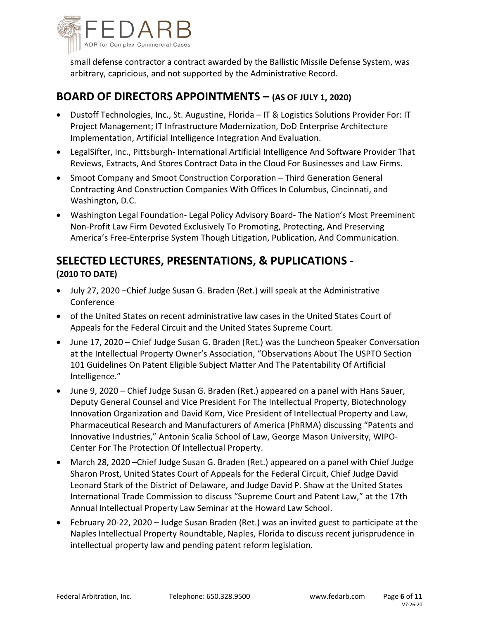

small defense contractor a contract awarded by the Ballistic Missile Defense System, was arbitrary, capricious, and not supported by the Administrative Record.

## **BOARD OF DIRECTORS APPOINTMENTS – (AS OF JULY 1, 2020)**

- Dustoff Technologies, Inc., St. Augustine, Florida IT & Logistics Solutions Provider For: IT Project Management; IT Infrastructure Modernization, DoD Enterprise Architecture Implementation, Artificial Intelligence Integration And Evaluation.
- LegalSifter, Inc., Pittsburgh-International Artificial Intelligence And Software Provider That Reviews, Extracts, And Stores Contract Data in the Cloud For Businesses and Law Firms.
- Smoot Company and Smoot Construction Corporation Third Generation General Contracting And Construction Companies With Offices In Columbus, Cincinnati, and Washington, D.C.
- Washington Legal Foundation- Legal Policy Advisory Board- The Nation's Most Preeminent Non‐Profit Law Firm Devoted Exclusively To Promoting, Protecting, And Preserving America's Free‐Enterprise System Though Litigation, Publication, And Communication.

# **SELECTED LECTURES, PRESENTATIONS, & PUPLICATIONS ‐ (2010 TO DATE)**

- July 27, 2020 –Chief Judge Susan G. Braden (Ret.) will speak at the Administrative Conference
- of the United States on recent administrative law cases in the United States Court of Appeals for the Federal Circuit and the United States Supreme Court.
- June 17, 2020 Chief Judge Susan G. Braden (Ret.) was the Luncheon Speaker Conversation at the Intellectual Property Owner's Association, "Observations About The USPTO Section 101 Guidelines On Patent Eligible Subject Matter And The Patentability Of Artificial Intelligence."
- June 9, 2020 Chief Judge Susan G. Braden (Ret.) appeared on a panel with Hans Sauer, Deputy General Counsel and Vice President For The Intellectual Property, Biotechnology Innovation Organization and David Korn, Vice President of Intellectual Property and Law, Pharmaceutical Research and Manufacturers of America (PhRMA) discussing "Patents and Innovative Industries," Antonin Scalia School of Law, George Mason University, WIPO‐ Center For The Protection Of Intellectual Property.
- March 28, 2020 –Chief Judge Susan G. Braden (Ret.) appeared on a panel with Chief Judge Sharon Prost, United States Court of Appeals for the Federal Circuit, Chief Judge David Leonard Stark of the District of Delaware, and Judge David P. Shaw at the United States International Trade Commission to discuss "Supreme Court and Patent Law," at the 17th Annual Intellectual Property Law Seminar at the Howard Law School.
- February 20‐22, 2020 Judge Susan Braden (Ret.) was an invited guest to participate at the Naples Intellectual Property Roundtable, Naples, Florida to discuss recent jurisprudence in intellectual property law and pending patent reform legislation.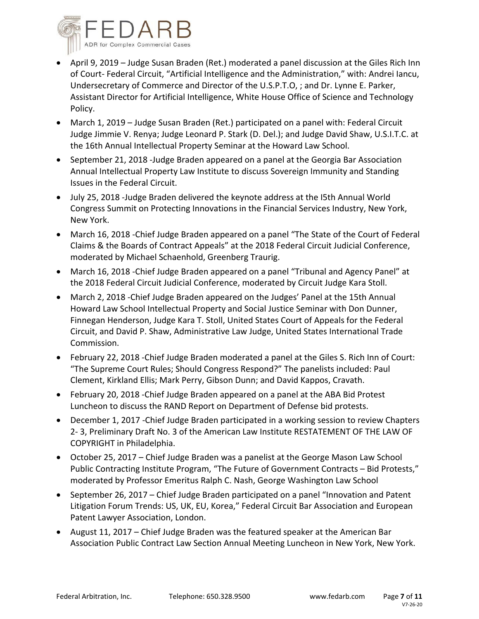

- April 9, 2019 Judge Susan Braden (Ret.) moderated a panel discussion at the Giles Rich Inn of Court‐ Federal Circuit, "Artificial Intelligence and the Administration," with: Andrei Iancu, Undersecretary of Commerce and Director of the U.S.P.T.O, ; and Dr. Lynne E. Parker, Assistant Director for Artificial Intelligence, White House Office of Science and Technology Policy.
- March 1, 2019 Judge Susan Braden (Ret.) participated on a panel with: Federal Circuit Judge Jimmie V. Renya; Judge Leonard P. Stark (D. Del.); and Judge David Shaw, U.S.I.T.C. at the 16th Annual Intellectual Property Seminar at the Howard Law School.
- September 21, 2018 -Judge Braden appeared on a panel at the Georgia Bar Association Annual Intellectual Property Law Institute to discuss Sovereign Immunity and Standing Issues in the Federal Circuit.
- July 25, 2018 ‐Judge Braden delivered the keynote address at the I5th Annual World Congress Summit on Protecting Innovations in the Financial Services Industry, New York, New York.
- March 16, 2018 Chief Judge Braden appeared on a panel "The State of the Court of Federal Claims & the Boards of Contract Appeals" at the 2018 Federal Circuit Judicial Conference, moderated by Michael Schaenhold, Greenberg Traurig.
- March 16, 2018 ‐Chief Judge Braden appeared on a panel "Tribunal and Agency Panel" at the 2018 Federal Circuit Judicial Conference, moderated by Circuit Judge Kara Stoll.
- March 2, 2018 Chief Judge Braden appeared on the Judges' Panel at the 15th Annual Howard Law School Intellectual Property and Social Justice Seminar with Don Dunner, Finnegan Henderson, Judge Kara T. Stoll, United States Court of Appeals for the Federal Circuit, and David P. Shaw, Administrative Law Judge, United States International Trade Commission.
- February 22, 2018 ‐Chief Judge Braden moderated a panel at the Giles S. Rich Inn of Court: "The Supreme Court Rules; Should Congress Respond?" The panelists included: Paul Clement, Kirkland Ellis; Mark Perry, Gibson Dunn; and David Kappos, Cravath.
- February 20, 2018 ‐Chief Judge Braden appeared on a panel at the ABA Bid Protest Luncheon to discuss the RAND Report on Department of Defense bid protests.
- December 1, 2017 Chief Judge Braden participated in a working session to review Chapters 2‐ 3, Preliminary Draft No. 3 of the American Law Institute RESTATEMENT OF THE LAW OF COPYRIGHT in Philadelphia.
- October 25, 2017 Chief Judge Braden was a panelist at the George Mason Law School Public Contracting Institute Program, "The Future of Government Contracts – Bid Protests," moderated by Professor Emeritus Ralph C. Nash, George Washington Law School
- September 26, 2017 Chief Judge Braden participated on a panel "Innovation and Patent Litigation Forum Trends: US, UK, EU, Korea," Federal Circuit Bar Association and European Patent Lawyer Association, London.
- August 11, 2017 Chief Judge Braden was the featured speaker at the American Bar Association Public Contract Law Section Annual Meeting Luncheon in New York, New York.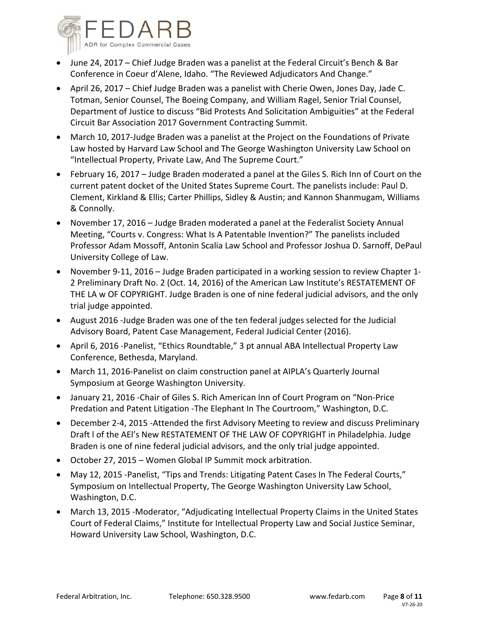

- June 24, 2017 Chief Judge Braden was a panelist at the Federal Circuit's Bench & Bar Conference in Coeur d'Alene, Idaho. "The Reviewed Adjudicators And Change."
- April 26, 2017 Chief Judge Braden was a panelist with Cherie Owen, Jones Day, Jade C. Totman, Senior Counsel, The Boeing Company, and William Ragel, Senior Trial Counsel, Department of Justice to discuss "Bid Protests And Solicitation Ambiguities" at the Federal Circuit Bar Association 2017 Government Contracting Summit.
- March 10, 2017-Judge Braden was a panelist at the Project on the Foundations of Private Law hosted by Harvard Law School and The George Washington University Law School on "Intellectual Property, Private Law, And The Supreme Court."
- February 16, 2017 Judge Braden moderated a panel at the Giles S. Rich Inn of Court on the current patent docket of the United States Supreme Court. The panelists include: Paul D. Clement, Kirkland & Ellis; Carter Phillips, Sidley & Austin; and Kannon Shanmugam, Williams & Connolly.
- November 17, 2016 Judge Braden moderated a panel at the Federalist Society Annual Meeting, "Courts v. Congress: What Is A Patentable Invention?" The panelists included Professor Adam Mossoff, Antonin Scalia Law School and Professor Joshua D. Sarnoff, DePaul University College of Law.
- November 9‐11, 2016 Judge Braden participated in a working session to review Chapter 1‐ 2 Preliminary Draft No. 2 (Oct. 14, 2016) of the American Law Institute's RESTATEMENT OF THE LA w OF COPYRIGHT. Judge Braden is one of nine federal judicial advisors, and the only trial judge appointed.
- August 2016 ‐Judge Braden was one of the ten federal judges selected for the Judicial Advisory Board, Patent Case Management, Federal Judicial Center (2016).
- April 6, 2016 ‐Panelist, "Ethics Roundtable," 3 pt annual ABA Intellectual Property Law Conference, Bethesda, Maryland.
- March 11, 2016-Panelist on claim construction panel at AIPLA's Quarterly Journal Symposium at George Washington University.
- January 21, 2016 ‐Chair of Giles S. Rich American Inn of Court Program on "Non‐Price Predation and Patent Litigation ‐The Elephant In The Courtroom," Washington, D.C.
- December 2-4, 2015 -Attended the first Advisory Meeting to review and discuss Preliminary Draft l of the AEl's New RESTATEMENT OF THE LAW OF COPYRIGHT in Philadelphia. Judge Braden is one of nine federal judicial advisors, and the only trial judge appointed.
- October 27, 2015 Women Global IP Summit mock arbitration.
- May 12, 2015 -Panelist, "Tips and Trends: Litigating Patent Cases In The Federal Courts," Symposium on Intellectual Property, The George Washington University Law School, Washington, D.C.
- March 13, 2015 -Moderator, "Adjudicating Intellectual Property Claims in the United States Court of Federal Claims," Institute for Intellectual Property Law and Social Justice Seminar, Howard University Law School, Washington, D.C.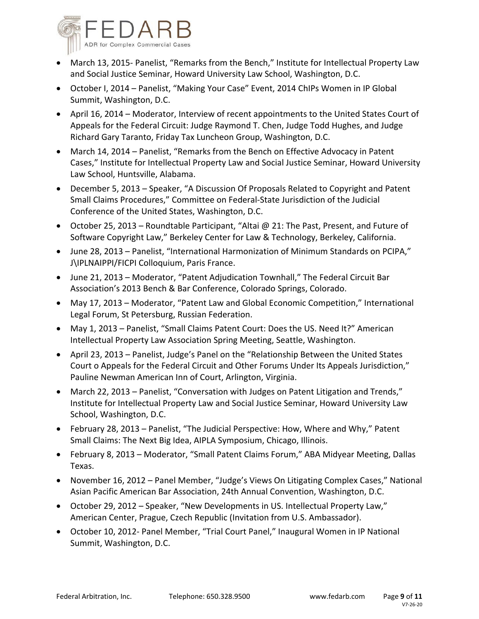

- March 13, 2015- Panelist, "Remarks from the Bench," Institute for Intellectual Property Law and Social Justice Seminar, Howard University Law School, Washington, D.C.
- October I, 2014 Panelist, "Making Your Case" Event, 2014 ChIPs Women in IP Global Summit, Washington, D.C.
- April 16, 2014 Moderator, Interview of recent appointments to the United States Court of Appeals for the Federal Circuit: Judge Raymond T. Chen, Judge Todd Hughes, and Judge Richard Gary Taranto, Friday Tax Luncheon Group, Washington, D.C.
- March 14, 2014 Panelist, "Remarks from the Bench on Effective Advocacy in Patent Cases," Institute for Intellectual Property Law and Social Justice Seminar, Howard University Law School, Huntsville, Alabama.
- December 5, 2013 Speaker, "A Discussion Of Proposals Related to Copyright and Patent Small Claims Procedures," Committee on Federal‐State Jurisdiction of the Judicial Conference of the United States, Washington, D.C.
- October 25, 2013 Roundtable Participant, "Altai @ 21: The Past, Present, and Future of Software Copyright Law," Berkeley Center for Law & Technology, Berkeley, California.
- June 28, 2013 Panelist, "International Harmonization of Minimum Standards on PCIPA," J\IPLNAIPPI/FICPI Colloquium, Paris France.
- June 21, 2013 Moderator, "Patent Adjudication Townhall," The Federal Circuit Bar Association's 2013 Bench & Bar Conference, Colorado Springs, Colorado.
- May 17, 2013 Moderator, "Patent Law and Global Economic Competition," International Legal Forum, St Petersburg, Russian Federation.
- May 1, 2013 Panelist, "Small Claims Patent Court: Does the US. Need It?" American Intellectual Property Law Association Spring Meeting, Seattle, Washington.
- April 23, 2013 Panelist, Judge's Panel on the "Relationship Between the United States Court o Appeals for the Federal Circuit and Other Forums Under Its Appeals Jurisdiction," Pauline Newman American Inn of Court, Arlington, Virginia.
- March 22, 2013 Panelist, "Conversation with Judges on Patent Litigation and Trends," Institute for Intellectual Property Law and Social Justice Seminar, Howard University Law School, Washington, D.C.
- February 28, 2013 Panelist, "The Judicial Perspective: How, Where and Why," Patent Small Claims: The Next Big Idea, AIPLA Symposium, Chicago, Illinois.
- February 8, 2013 Moderator, "Small Patent Claims Forum," ABA Midyear Meeting, Dallas Texas.
- November 16, 2012 Panel Member, "Judge's Views On Litigating Complex Cases," National Asian Pacific American Bar Association, 24th Annual Convention, Washington, D.C.
- October 29, 2012 Speaker, "New Developments in US. Intellectual Property Law," American Center, Prague, Czech Republic (Invitation from U.S. Ambassador).
- October 10, 2012‐ Panel Member, "Trial Court Panel," Inaugural Women in IP National Summit, Washington, D.C.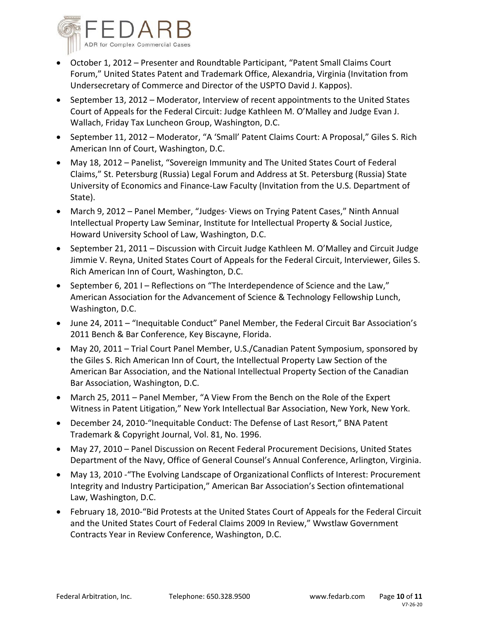

- October 1, 2012 Presenter and Roundtable Participant, "Patent Small Claims Court Forum," United States Patent and Trademark Office, Alexandria, Virginia (Invitation from Undersecretary of Commerce and Director of the USPTO David J. Kappos).
- September 13, 2012 Moderator, Interview of recent appointments to the United States Court of Appeals for the Federal Circuit: Judge Kathleen M. O'Malley and Judge Evan J. Wallach, Friday Tax Luncheon Group, Washington, D.C.
- September 11, 2012 Moderator, "A 'Small' Patent Claims Court: A Proposal," Giles S. Rich American Inn of Court, Washington, D.C.
- May 18, 2012 Panelist, "Sovereign Immunity and The United States Court of Federal Claims," St. Petersburg (Russia) Legal Forum and Address at St. Petersburg (Russia) State University of Economics and Finance‐Law Faculty (Invitation from the U.S. Department of State).
- March 9, 2012 Panel Member, "Judges∙ Views on Trying Patent Cases," Ninth Annual Intellectual Property Law Seminar, Institute for Intellectual Property & Social Justice, Howard University School of Law, Washington, D.C.
- September 21, 2011 Discussion with Circuit Judge Kathleen M. O'Malley and Circuit Judge Jimmie V. Reyna, United States Court of Appeals for the Federal Circuit, Interviewer, Giles S. Rich American Inn of Court, Washington, D.C.
- September 6, 201 I Reflections on "The Interdependence of Science and the Law," American Association for the Advancement of Science & Technology Fellowship Lunch, Washington, D.C.
- June 24, 2011 "Inequitable Conduct" Panel Member, the Federal Circuit Bar Association's 2011 Bench & Bar Conference, Key Biscayne, Florida.
- May 20, 2011 Trial Court Panel Member, U.S./Canadian Patent Symposium, sponsored by the Giles S. Rich American Inn of Court, the Intellectual Property Law Section of the American Bar Association, and the National Intellectual Property Section of the Canadian Bar Association, Washington, D.C.
- March 25, 2011 Panel Member, "A View From the Bench on the Role of the Expert Witness in Patent Litigation," New York Intellectual Bar Association, New York, New York.
- December 24, 2010-"Inequitable Conduct: The Defense of Last Resort," BNA Patent Trademark & Copyright Journal, Vol. 81, No. 1996.
- May 27, 2010 Panel Discussion on Recent Federal Procurement Decisions, United States Department of the Navy, Office of General Counsel's Annual Conference, Arlington, Virginia.
- May 13, 2010 ‐"The Evolving Landscape of Organizational Conflicts of Interest: Procurement Integrity and Industry Participation," American Bar Association's Section ofintemational Law, Washington, D.C.
- February 18, 2010‐"Bid Protests at the United States Court of Appeals for the Federal Circuit and the United States Court of Federal Claims 2009 In Review," Wwstlaw Government Contracts Year in Review Conference, Washington, D.C.